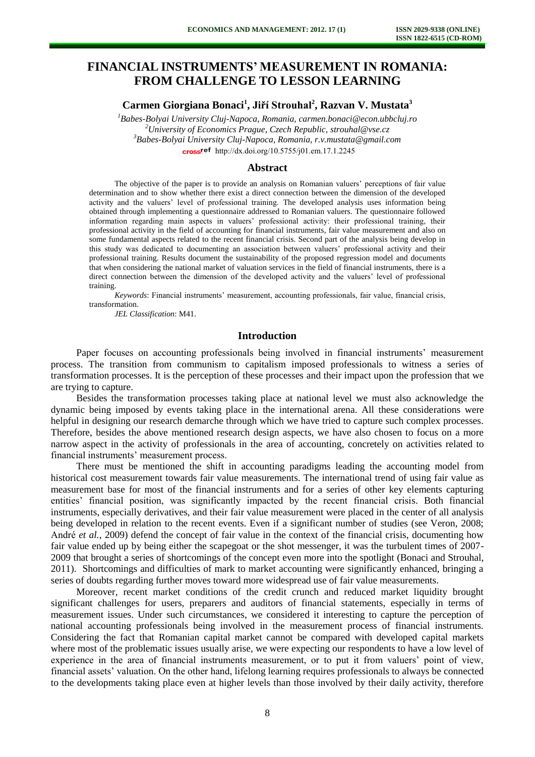## **FINANCIAL INSTRUMENTS' MEASUREMENT IN ROMANIA: FROM CHALLENGE TO LESSON LEARNING**

## **Carmen Giorgiana Bonaci<sup>1</sup> , Jiří Strouhal<sup>2</sup> , Razvan V. Mustata<sup>3</sup>**

*Babes-Bolyai University Cluj-Napoca, Romania, [carmen.bonaci@econ.ubbcluj.ro](mailto:carmen.bonaci@econ.ubbcluj.ro) University of Economics Prague, Czech Republic, [strouhal@vse.cz](mailto:strouhal@vse.cz) Babes-Bolyai University Cluj-Napoca, Romania, r.v.mustata@gmail.com* cross<sup>ref</sup> http://dx.doi.org/10.5755/j01.em.17.1.2245

#### **Abstract**

The objective of the paper is to provide an analysis on Romanian valuers' perceptions of fair value determination and to show whether there exist a direct connection between the dimension of the developed activity and the valuers' level of professional training. The developed analysis uses information being obtained through implementing a questionnaire addressed to Romanian valuers. The questionnaire followed information regarding main aspects in valuers' professional activity: their professional training, their professional activity in the field of accounting for financial instruments, fair value measurement and also on some fundamental aspects related to the recent financial crisis. Second part of the analysis being develop in this study was dedicated to documenting an association between valuers' professional activity and their professional training. Results document the sustainability of the proposed regression model and documents that when considering the national market of valuation services in the field of financial instruments, there is a direct connection between the dimension of the developed activity and the valuers' level of professional training.

*Keywords*: Financial instruments' measurement, accounting professionals, fair value, financial crisis, transformation.

*JEL Classification*: M41.

#### **Introduction**

Paper focuses on accounting professionals being involved in financial instruments' measurement process. The transition from communism to capitalism imposed professionals to witness a series of transformation processes. It is the perception of these processes and their impact upon the profession that we are trying to capture.

Besides the transformation processes taking place at national level we must also acknowledge the dynamic being imposed by events taking place in the international arena. All these considerations were helpful in designing our research demarche through which we have tried to capture such complex processes. Therefore, besides the above mentioned research design aspects, we have also chosen to focus on a more narrow aspect in the activity of professionals in the area of accounting, concretely on activities related to financial instruments' measurement process.

There must be mentioned the shift in accounting paradigms leading the accounting model from historical cost measurement towards fair value measurements. The international trend of using fair value as measurement base for most of the financial instruments and for a series of other key elements capturing entities' financial position, was significantly impacted by the recent financial crisis. Both financial instruments, especially derivatives, and their fair value measurement were placed in the center of all analysis being developed in relation to the recent events. Even if a significant number of studies (see Veron, 2008; André *et al.*, 2009) defend the concept of fair value in the context of the financial crisis, documenting how fair value ended up by being either the scapegoat or the shot messenger, it was the turbulent times of 2007- 2009 that brought a series of shortcomings of the concept even more into the spotlight (Bonaci and Strouhal, 2011). Shortcomings and difficulties of mark to market accounting were significantly enhanced, bringing a series of doubts regarding further moves toward more widespread use of fair value measurements.

Moreover, recent market conditions of the credit crunch and reduced market liquidity brought significant challenges for users, preparers and auditors of financial statements, especially in terms of measurement issues. Under such circumstances, we considered it interesting to capture the perception of national accounting professionals being involved in the measurement process of financial instruments. Considering the fact that Romanian capital market cannot be compared with developed capital markets where most of the problematic issues usually arise, we were expecting our respondents to have a low level of experience in the area of financial instruments measurement, or to put it from valuers' point of view, financial assets' valuation. On the other hand, lifelong learning requires professionals to always be connected to the developments taking place even at higher levels than those involved by their daily activity, therefore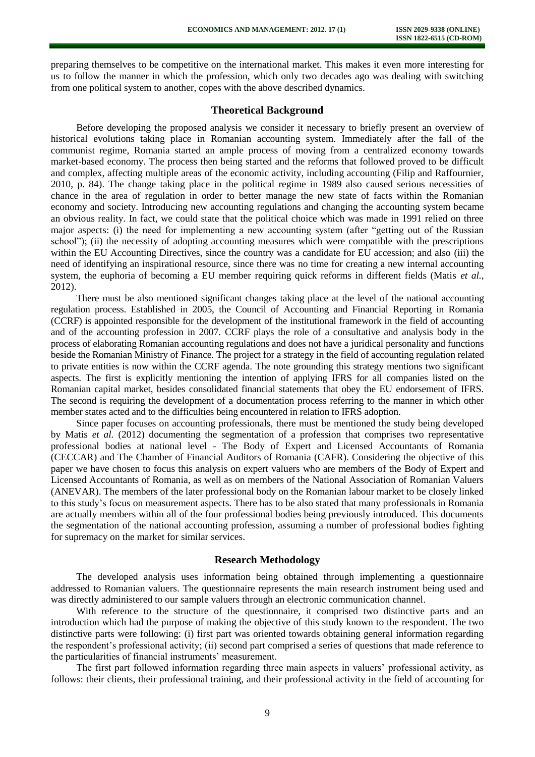preparing themselves to be competitive on the international market. This makes it even more interesting for us to follow the manner in which the profession, which only two decades ago was dealing with switching from one political system to another, copes with the above described dynamics.

## **Theoretical Background**

Before developing the proposed analysis we consider it necessary to briefly present an overview of historical evolutions taking place in Romanian accounting system. Immediately after the fall of the communist regime, Romania started an ample process of moving from a centralized economy towards market-based economy. The process then being started and the reforms that followed proved to be difficult and complex, affecting multiple areas of the economic activity, including accounting (Filip and Raffournier, 2010, p. 84). The change taking place in the political regime in 1989 also caused serious necessities of chance in the area of regulation in order to better manage the new state of facts within the Romanian economy and society. Introducing new accounting regulations and changing the accounting system became an obvious reality. In fact, we could state that the political choice which was made in 1991 relied on three major aspects: (i) the need for implementing a new accounting system (after "getting out of the Russian school"); (ii) the necessity of adopting accounting measures which were compatible with the prescriptions within the EU Accounting Directives, since the country was a candidate for EU accession; and also (iii) the need of identifying an inspirational resource, since there was no time for creating a new internal accounting system, the euphoria of becoming a EU member requiring quick reforms in different fields (Matis *et al.*, 2012).

There must be also mentioned significant changes taking place at the level of the national accounting regulation process. Established in 2005, the Council of Accounting and Financial Reporting in Romania (CCRF) is appointed responsible for the development of the institutional framework in the field of accounting and of the accounting profession in 2007. CCRF plays the role of a consultative and analysis body in the process of elaborating Romanian accounting regulations and does not have a juridical personality and functions beside the Romanian Ministry of Finance. The project for a strategy in the field of accounting regulation related to private entities is now within the CCRF agenda. The note grounding this strategy mentions two significant aspects. The first is explicitly mentioning the intention of applying IFRS for all companies listed on the Romanian capital market, besides consolidated financial statements that obey the EU endorsement of IFRS. The second is requiring the development of a documentation process referring to the manner in which other member states acted and to the difficulties being encountered in relation to IFRS adoption.

Since paper focuses on accounting professionals, there must be mentioned the study being developed by Matis *et al.* (2012) documenting the segmentation of a profession that comprises two representative professional bodies at national level - The Body of Expert and Licensed Accountants of Romania (CECCAR) and The Chamber of Financial Auditors of Romania (CAFR). Considering the objective of this paper we have chosen to focus this analysis on expert valuers who are members of the Body of Expert and Licensed Accountants of Romania, as well as on members of the National Association of Romanian Valuers (ANEVAR). The members of the later professional body on the Romanian labour market to be closely linked to this study's focus on measurement aspects. There has to be also stated that many professionals in Romania are actually members within all of the four professional bodies being previously introduced. This documents the segmentation of the national accounting profession, assuming a number of professional bodies fighting for supremacy on the market for similar services.

## **Research Methodology**

The developed analysis uses information being obtained through implementing a questionnaire addressed to Romanian valuers. The questionnaire represents the main research instrument being used and was directly administered to our sample valuers through an electronic communication channel.

With reference to the structure of the questionnaire, it comprised two distinctive parts and an introduction which had the purpose of making the objective of this study known to the respondent. The two distinctive parts were following: (i) first part was oriented towards obtaining general information regarding the respondent's professional activity; (ii) second part comprised a series of questions that made reference to the particularities of financial instruments' measurement.

The first part followed information regarding three main aspects in valuers' professional activity, as follows: their clients, their professional training, and their professional activity in the field of accounting for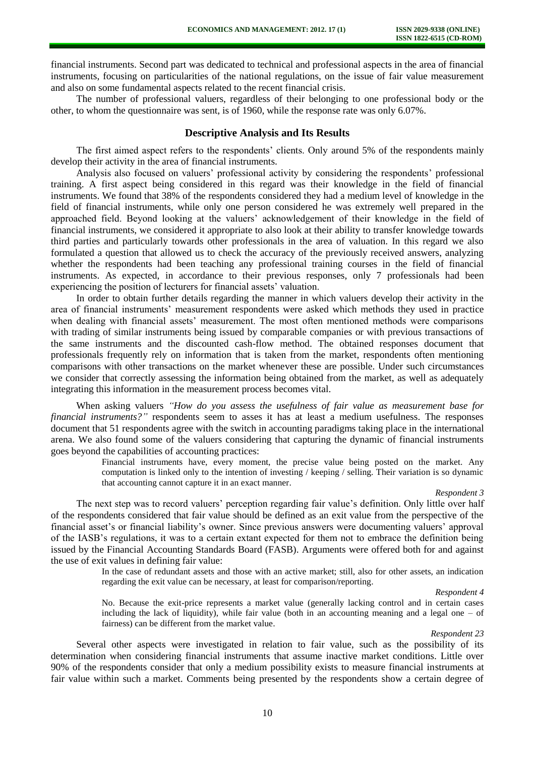financial instruments. Second part was dedicated to technical and professional aspects in the area of financial instruments, focusing on particularities of the national regulations, on the issue of fair value measurement and also on some fundamental aspects related to the recent financial crisis.

The number of professional valuers, regardless of their belonging to one professional body or the other, to whom the questionnaire was sent, is of 1960, while the response rate was only 6.07%.

#### **Descriptive Analysis and Its Results**

The first aimed aspect refers to the respondents' clients. Only around 5% of the respondents mainly develop their activity in the area of financial instruments.

Analysis also focused on valuers' professional activity by considering the respondents' professional training. A first aspect being considered in this regard was their knowledge in the field of financial instruments. We found that 38% of the respondents considered they had a medium level of knowledge in the field of financial instruments, while only one person considered he was extremely well prepared in the approached field. Beyond looking at the valuers' acknowledgement of their knowledge in the field of financial instruments, we considered it appropriate to also look at their ability to transfer knowledge towards third parties and particularly towards other professionals in the area of valuation. In this regard we also formulated a question that allowed us to check the accuracy of the previously received answers, analyzing whether the respondents had been teaching any professional training courses in the field of financial instruments. As expected, in accordance to their previous responses, only 7 professionals had been experiencing the position of lecturers for financial assets' valuation.

In order to obtain further details regarding the manner in which valuers develop their activity in the area of financial instruments' measurement respondents were asked which methods they used in practice when dealing with financial assets' measurement. The most often mentioned methods were comparisons with trading of similar instruments being issued by comparable companies or with previous transactions of the same instruments and the discounted cash-flow method. The obtained responses document that professionals frequently rely on information that is taken from the market, respondents often mentioning comparisons with other transactions on the market whenever these are possible. Under such circumstances we consider that correctly assessing the information being obtained from the market, as well as adequately integrating this information in the measurement process becomes vital.

When asking valuers *"How do you assess the usefulness of fair value as measurement base for financial instruments?"* respondents seem to asses it has at least a medium usefulness. The responses document that 51 respondents agree with the switch in accounting paradigms taking place in the international arena. We also found some of the valuers considering that capturing the dynamic of financial instruments goes beyond the capabilities of accounting practices:

> Financial instruments have, every moment, the precise value being posted on the market. Any computation is linked only to the intention of investing / keeping / selling. Their variation is so dynamic that accounting cannot capture it in an exact manner.

## *Respondent 3*

The next step was to record valuers' perception regarding fair value's definition. Only little over half of the respondents considered that fair value should be defined as an exit value from the perspective of the financial asset's or financial liability's owner. Since previous answers were documenting valuers' approval of the IASB's regulations, it was to a certain extant expected for them not to embrace the definition being issued by the Financial Accounting Standards Board (FASB). Arguments were offered both for and against the use of exit values in defining fair value:

> In the case of redundant assets and those with an active market; still, also for other assets, an indication regarding the exit value can be necessary, at least for comparison/reporting.

> > *Respondent 4*

No. Because the exit-price represents a market value (generally lacking control and in certain cases including the lack of liquidity), while fair value (both in an accounting meaning and a legal one  $-$  of fairness) can be different from the market value.

#### *Respondent 23*

Several other aspects were investigated in relation to fair value, such as the possibility of its determination when considering financial instruments that assume inactive market conditions. Little over 90% of the respondents consider that only a medium possibility exists to measure financial instruments at fair value within such a market. Comments being presented by the respondents show a certain degree of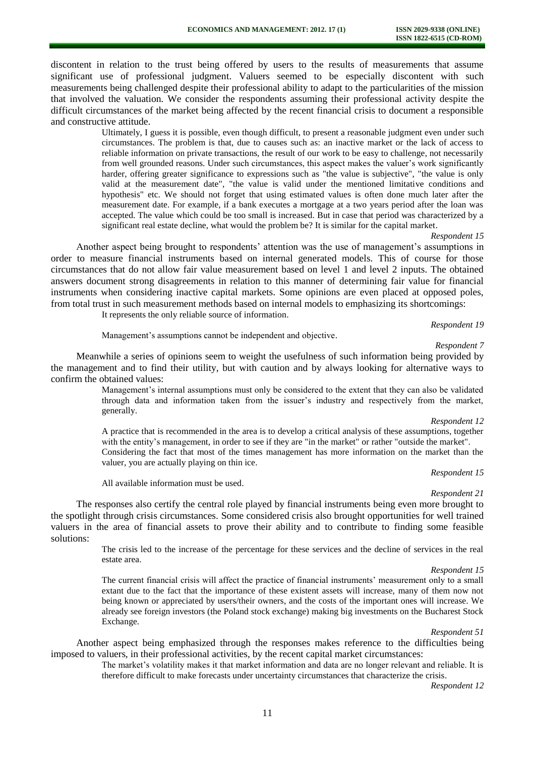discontent in relation to the trust being offered by users to the results of measurements that assume significant use of professional judgment. Valuers seemed to be especially discontent with such measurements being challenged despite their professional ability to adapt to the particularities of the mission that involved the valuation. We consider the respondents assuming their professional activity despite the difficult circumstances of the market being affected by the recent financial crisis to document a responsible and constructive attitude.

Ultimately, I guess it is possible, even though difficult, to present a reasonable judgment even under such circumstances. The problem is that, due to causes such as: an inactive market or the lack of access to reliable information on private transactions, the result of our work to be easy to challenge, not necessarily from well grounded reasons. Under such circumstances, this aspect makes the valuer's work significantly harder, offering greater significance to expressions such as "the value is subjective", "the value is only valid at the measurement date", "the value is valid under the mentioned limitative conditions and hypothesis" etc. We should not forget that using estimated values is often done much later after the measurement date. For example, if a bank executes a mortgage at a two years period after the loan was accepted. The value which could be too small is increased. But in case that period was characterized by a significant real estate decline, what would the problem be? It is similar for the capital market.

#### *Respondent 15*

Another aspect being brought to respondents' attention was the use of management's assumptions in order to measure financial instruments based on internal generated models. This of course for those circumstances that do not allow fair value measurement based on level 1 and level 2 inputs. The obtained answers document strong disagreements in relation to this manner of determining fair value for financial instruments when considering inactive capital markets. Some opinions are even placed at opposed poles, from total trust in such measurement methods based on internal models to emphasizing its shortcomings:

It represents the only reliable source of information.

Management's assumptions cannot be independent and objective.

*Respondent 19*

*Respondent 7*

Meanwhile a series of opinions seem to weight the usefulness of such information being provided by the management and to find their utility, but with caution and by always looking for alternative ways to confirm the obtained values:

Management's internal assumptions must only be considered to the extent that they can also be validated through data and information taken from the issuer's industry and respectively from the market, generally.

#### *Respondent 12*

A practice that is recommended in the area is to develop a critical analysis of these assumptions, together with the entity's management, in order to see if they are "in the market" or rather "outside the market". Considering the fact that most of the times management has more information on the market than the valuer, you are actually playing on thin ice.

All available information must be used.

# *Respondent 15 Respondent 21*

The responses also certify the central role played by financial instruments being even more brought to the spotlight through crisis circumstances. Some considered crisis also brought opportunities for well trained valuers in the area of financial assets to prove their ability and to contribute to finding some feasible solutions:

> The crisis led to the increase of the percentage for these services and the decline of services in the real estate area.

> > *Respondent 15*

The current financial crisis will affect the practice of financial instruments' measurement only to a small extant due to the fact that the importance of these existent assets will increase, many of them now not being known or appreciated by users/their owners, and the costs of the important ones will increase. We already see foreign investors (the Poland stock exchange) making big investments on the Bucharest Stock Exchange.

#### *Respondent 51*

Another aspect being emphasized through the responses makes reference to the difficulties being imposed to valuers, in their professional activities, by the recent capital market circumstances:

The market's volatility makes it that market information and data are no longer relevant and reliable. It is therefore difficult to make forecasts under uncertainty circumstances that characterize the crisis.

*Respondent 12*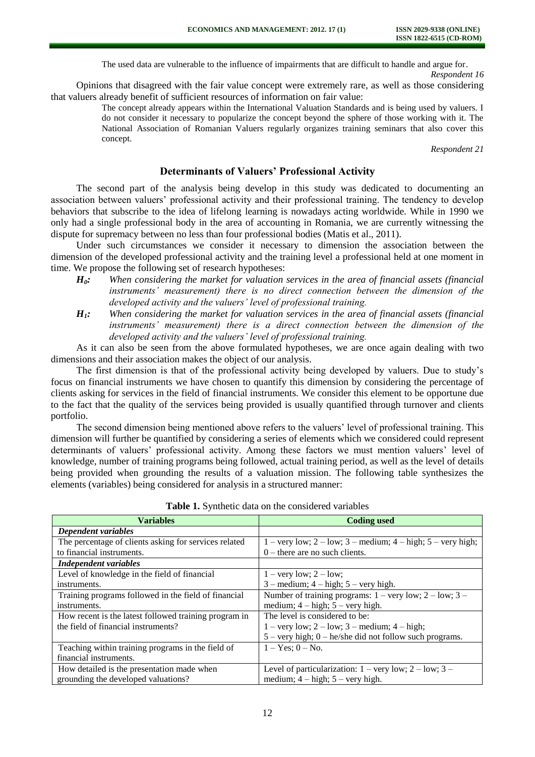The used data are vulnerable to the influence of impairments that are difficult to handle and argue for. *Respondent 16*

Opinions that disagreed with the fair value concept were extremely rare, as well as those considering that valuers already benefit of sufficient resources of information on fair value:

> The concept already appears within the International Valuation Standards and is being used by valuers. I do not consider it necessary to popularize the concept beyond the sphere of those working with it. The National Association of Romanian Valuers regularly organizes training seminars that also cover this concept.

> > *Respondent 21*

## **Determinants of Valuers' Professional Activity**

The second part of the analysis being develop in this study was dedicated to documenting an association between valuers' professional activity and their professional training. The tendency to develop behaviors that subscribe to the idea of lifelong learning is nowadays acting worldwide. While in 1990 we only had a single professional body in the area of accounting in Romania, we are currently witnessing the dispute for supremacy between no less than four professional bodies (Matis et al., 2011).

Under such circumstances we consider it necessary to dimension the association between the dimension of the developed professional activity and the training level a professional held at one moment in time. We propose the following set of research hypotheses:

- *H0: When considering the market for valuation services in the area of financial assets (financial instruments' measurement) there is no direct connection between the dimension of the developed activity and the valuers' level of professional training.*
- *H1: When considering the market for valuation services in the area of financial assets (financial instruments' measurement) there is a direct connection between the dimension of the developed activity and the valuers' level of professional training.*

As it can also be seen from the above formulated hypotheses, we are once again dealing with two dimensions and their association makes the object of our analysis.

The first dimension is that of the professional activity being developed by valuers. Due to study's focus on financial instruments we have chosen to quantify this dimension by considering the percentage of clients asking for services in the field of financial instruments. We consider this element to be opportune due to the fact that the quality of the services being provided is usually quantified through turnover and clients portfolio.

The second dimension being mentioned above refers to the valuers' level of professional training. This dimension will further be quantified by considering a series of elements which we considered could represent determinants of valuers' professional activity. Among these factors we must mention valuers' level of knowledge, number of training programs being followed, actual training period, as well as the level of details being provided when grounding the results of a valuation mission. The following table synthesizes the elements (variables) being considered for analysis in a structured manner:

| <b>Variables</b>                                      | <b>Coding used</b>                                                                                                                                                                                                                                                                                                                                                                                                                 |
|-------------------------------------------------------|------------------------------------------------------------------------------------------------------------------------------------------------------------------------------------------------------------------------------------------------------------------------------------------------------------------------------------------------------------------------------------------------------------------------------------|
| Dependent variables                                   |                                                                                                                                                                                                                                                                                                                                                                                                                                    |
| The percentage of clients asking for services related | $1 - \text{very low}; 2 - \text{low}; 3 - \text{medium}; 4 - \text{high}; 5 - \text{very high};$                                                                                                                                                                                                                                                                                                                                   |
| to financial instruments.                             | $0$ – there are no such clients.                                                                                                                                                                                                                                                                                                                                                                                                   |
| Independent variables                                 |                                                                                                                                                                                                                                                                                                                                                                                                                                    |
| Level of knowledge in the field of financial          | $1 - \text{very low}; 2 - \text{low};$                                                                                                                                                                                                                                                                                                                                                                                             |
| instruments.                                          | $3$ – medium; $4$ – high; $5$ – very high.                                                                                                                                                                                                                                                                                                                                                                                         |
| Training programs followed in the field of financial  | Number of training programs: $1 - \text{very low}; 2 - \text{low}; 3 -$                                                                                                                                                                                                                                                                                                                                                            |
| instruments.                                          | medium; $4 - high$ ; $5 - very high$ .                                                                                                                                                                                                                                                                                                                                                                                             |
| How recent is the latest followed training program in | The level is considered to be:                                                                                                                                                                                                                                                                                                                                                                                                     |
| the field of financial instruments?                   | $1 - \text{very low}; 2 - \text{low}; 3 - \text{medium}; 4 - \text{high};$                                                                                                                                                                                                                                                                                                                                                         |
|                                                       | $5 - \text{very high}; 0 - \text{he/she did not follow such programs}.$                                                                                                                                                                                                                                                                                                                                                            |
| Teaching within training programs in the field of     | $1 - Yes$ ; $0 - No$ .                                                                                                                                                                                                                                                                                                                                                                                                             |
| financial instruments.                                |                                                                                                                                                                                                                                                                                                                                                                                                                                    |
| How detailed is the presentation made when            | Level of particularization: $1 - \text{very low}; 2 - \text{low}; 3 - \text{low}; 4 - \text{low}; 5 - \text{low}; 6 - \text{low}; 7 - \text{low}; 7 - \text{low}; 8 - \text{low}; 7 - \text{low}; 8 - \text{low}; 7 - \text{low}; 7 - \text{low}; 8 - \text{low}; 7 - \text{low}; 8 - \text{low}; 7 - \text{low}; 8 - \text{low}; 9 - \text{low}; 1 - \text{low}; 1 - \text{low}; 1 - \text{low}; 1 - \text{low}; 1 - \text{low};$ |
| grounding the developed valuations?                   | medium; $4 - high$ ; $5 - very high$ .                                                                                                                                                                                                                                                                                                                                                                                             |

**Table 1.** Synthetic data on the considered variables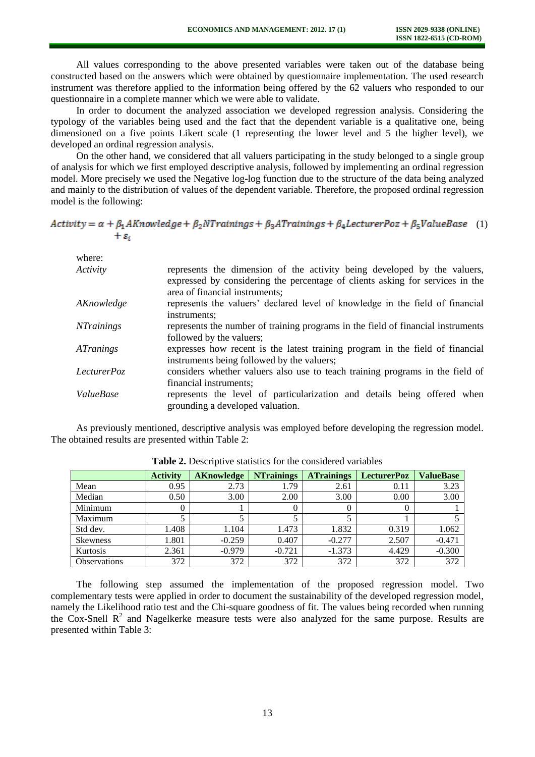All values corresponding to the above presented variables were taken out of the database being constructed based on the answers which were obtained by questionnaire implementation. The used research instrument was therefore applied to the information being offered by the 62 valuers who responded to our questionnaire in a complete manner which we were able to validate.

In order to document the analyzed association we developed regression analysis. Considering the typology of the variables being used and the fact that the dependent variable is a qualitative one, being dimensioned on a five points Likert scale (1 representing the lower level and 5 the higher level), we developed an ordinal regression analysis.

On the other hand, we considered that all valuers participating in the study belonged to a single group of analysis for which we first employed descriptive analysis, followed by implementing an ordinal regression model. More precisely we used the Negative log-log function due to the structure of the data being analyzed and mainly to the distribution of values of the dependent variable. Therefore, the proposed ordinal regression model is the following:

## $Activity = \alpha + \beta_1 AK nowledge + \beta_2 NTraining + \beta_3 ATraining + \beta_4 Lecturer Poz + \beta_5 ValueBase$  (1)  $+\varepsilon_i$

| where:            |                                                                                                                                                           |
|-------------------|-----------------------------------------------------------------------------------------------------------------------------------------------------------|
| Activity          | represents the dimension of the activity being developed by the valuers,<br>expressed by considering the percentage of clients asking for services in the |
|                   | area of financial instruments;                                                                                                                            |
| AKnowledge        | represents the valuers' declared level of knowledge in the field of financial<br>instruments:                                                             |
| <b>NTrainings</b> | represents the number of training programs in the field of financial instruments<br>followed by the valuers;                                              |
| <i>ATranings</i>  | expresses how recent is the latest training program in the field of financial<br>instruments being followed by the valuers;                               |
| LecturerPoz       | considers whether valuers also use to teach training programs in the field of<br>financial instruments;                                                   |
| ValueBase         | represents the level of particularization and details being offered when<br>grounding a developed valuation.                                              |

As previously mentioned, descriptive analysis was employed before developing the regression model. The obtained results are presented within Table 2:

|                     | <b>Activity</b> | <b>AKnowledge</b> | <b>NT</b> rainings | <b>ATrainings</b> | <b>LecturerPoz</b> | <b>ValueBase</b> |
|---------------------|-----------------|-------------------|--------------------|-------------------|--------------------|------------------|
| Mean                | 0.95            | 2.73              | 1.79               | 2.61              | 0.11               | 3.23             |
| Median              | 0.50            | 3.00              | 2.00               | 3.00              | 0.00               | 3.00             |
| Minimum             |                 |                   |                    |                   |                    |                  |
| Maximum             |                 | J                 |                    |                   |                    |                  |
| Std dev.            | 1.408           | 1.104             | 1.473              | 1.832             | 0.319              | 1.062            |
| <b>Skewness</b>     | 1.801           | $-0.259$          | 0.407              | $-0.277$          | 2.507              | $-0.471$         |
| Kurtosis            | 2.361           | $-0.979$          | $-0.721$           | $-1.373$          | 4.429              | $-0.300$         |
| <b>Observations</b> | 372             | 372               | 372                | 372               | 372                | 372              |

**Table 2.** Descriptive statistics for the considered variables

The following step assumed the implementation of the proposed regression model. Two complementary tests were applied in order to document the sustainability of the developed regression model, namely the Likelihood ratio test and the Chi-square goodness of fit. The values being recorded when running the Cox-Snell  $R^2$  and Nagelkerke measure tests were also analyzed for the same purpose. Results are presented within Table 3: